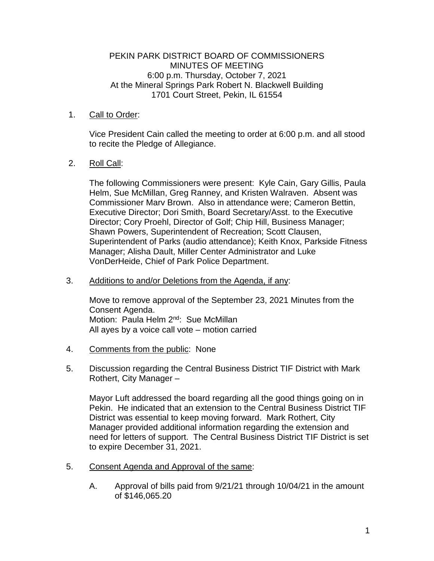#### PEKIN PARK DISTRICT BOARD OF COMMISSIONERS MINUTES OF MEETING 6:00 p.m. Thursday, October 7, 2021 At the Mineral Springs Park Robert N. Blackwell Building 1701 Court Street, Pekin, IL 61554

## 1. Call to Order:

Vice President Cain called the meeting to order at 6:00 p.m. and all stood to recite the Pledge of Allegiance.

# 2. Roll Call:

The following Commissioners were present: Kyle Cain, Gary Gillis, Paula Helm, Sue McMillan, Greg Ranney, and Kristen Walraven. Absent was Commissioner Marv Brown. Also in attendance were; Cameron Bettin, Executive Director; Dori Smith, Board Secretary/Asst. to the Executive Director; Cory Proehl, Director of Golf; Chip Hill, Business Manager; Shawn Powers, Superintendent of Recreation; Scott Clausen, Superintendent of Parks (audio attendance); Keith Knox, Parkside Fitness Manager; Alisha Dault, Miller Center Administrator and Luke VonDerHeide, Chief of Park Police Department.

### 3. Additions to and/or Deletions from the Agenda, if any:

Move to remove approval of the September 23, 2021 Minutes from the Consent Agenda. Motion: Paula Helm 2<sup>nd</sup>: Sue McMillan All ayes by a voice call vote – motion carried

- 4. Comments from the public: None
- 5. Discussion regarding the Central Business District TIF District with Mark Rothert, City Manager –

Mayor Luft addressed the board regarding all the good things going on in Pekin. He indicated that an extension to the Central Business District TIF District was essential to keep moving forward. Mark Rothert, City Manager provided additional information regarding the extension and need for letters of support. The Central Business District TIF District is set to expire December 31, 2021.

- 5. Consent Agenda and Approval of the same:
	- A. Approval of bills paid from 9/21/21 through 10/04/21 in the amount of \$146,065.20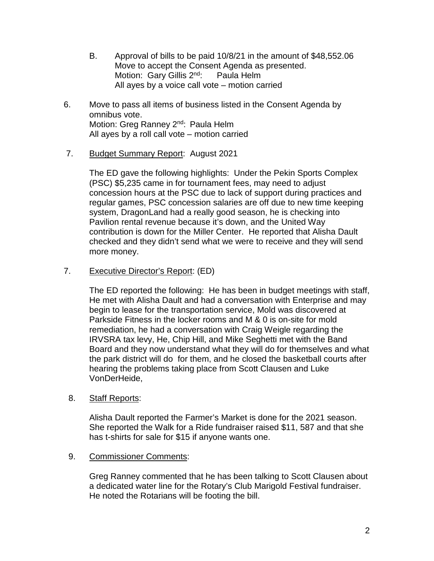- B. Approval of bills to be paid 10/8/21 in the amount of \$48,552.06 Move to accept the Consent Agenda as presented. Motion: Gary Gillis 2<sup>nd</sup>: Paula Helm All ayes by a voice call vote – motion carried
- 6. Move to pass all items of business listed in the Consent Agenda by omnibus vote. Motion: Greg Ranney 2<sup>nd</sup>: Paula Helm All ayes by a roll call vote – motion carried
- 7. Budget Summary Report: August 2021

The ED gave the following highlights: Under the Pekin Sports Complex (PSC) \$5,235 came in for tournament fees, may need to adjust concession hours at the PSC due to lack of support during practices and regular games, PSC concession salaries are off due to new time keeping system, DragonLand had a really good season, he is checking into Pavilion rental revenue because it's down, and the United Way contribution is down for the Miller Center. He reported that Alisha Dault checked and they didn't send what we were to receive and they will send more money.

7. Executive Director's Report: (ED)

The ED reported the following: He has been in budget meetings with staff, He met with Alisha Dault and had a conversation with Enterprise and may begin to lease for the transportation service, Mold was discovered at Parkside Fitness in the locker rooms and M & 0 is on-site for mold remediation, he had a conversation with Craig Weigle regarding the IRVSRA tax levy, He, Chip Hill, and Mike Seghetti met with the Band Board and they now understand what they will do for themselves and what the park district will do for them, and he closed the basketball courts after hearing the problems taking place from Scott Clausen and Luke VonDerHeide,

8. Staff Reports:

Alisha Dault reported the Farmer's Market is done for the 2021 season. She reported the Walk for a Ride fundraiser raised \$11, 587 and that she has t-shirts for sale for \$15 if anyone wants one.

### 9. Commissioner Comments:

Greg Ranney commented that he has been talking to Scott Clausen about a dedicated water line for the Rotary's Club Marigold Festival fundraiser. He noted the Rotarians will be footing the bill.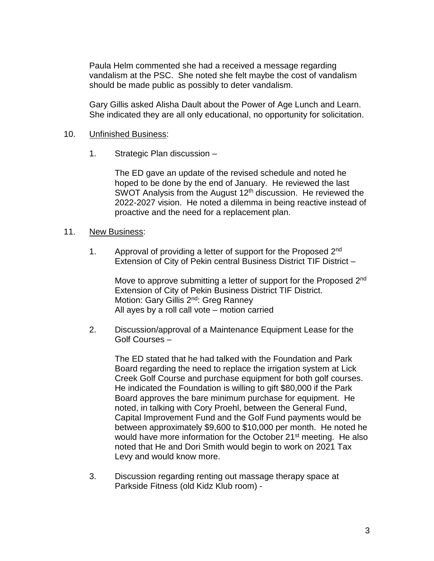Paula Helm commented she had a received a message regarding vandalism at the PSC. She noted she felt maybe the cost of vandalism should be made public as possibly to deter vandalism.

Gary Gillis asked Alisha Dault about the Power of Age Lunch and Learn. She indicated they are all only educational, no opportunity for solicitation.

#### 10. Unfinished Business:

1. Strategic Plan discussion –

The ED gave an update of the revised schedule and noted he hoped to be done by the end of January. He reviewed the last SWOT Analysis from the August 12<sup>th</sup> discussion. He reviewed the 2022-2027 vision. He noted a dilemma in being reactive instead of proactive and the need for a replacement plan.

#### 11. New Business:

1. Approval of providing a letter of support for the Proposed 2<sup>nd</sup> Extension of City of Pekin central Business District TIF District –

Move to approve submitting a letter of support for the Proposed 2<sup>nd</sup> Extension of City of Pekin Business District TIF District. Motion: Gary Gillis 2<sup>nd</sup>: Greg Ranney All ayes by a roll call vote – motion carried

2. Discussion/approval of a Maintenance Equipment Lease for the Golf Courses –

The ED stated that he had talked with the Foundation and Park Board regarding the need to replace the irrigation system at Lick Creek Golf Course and purchase equipment for both golf courses. He indicated the Foundation is willing to gift \$80,000 if the Park Board approves the bare minimum purchase for equipment. He noted, in talking with Cory Proehl, between the General Fund, Capital Improvement Fund and the Golf Fund payments would be between approximately \$9,600 to \$10,000 per month. He noted he would have more information for the October 21<sup>st</sup> meeting. He also noted that He and Dori Smith would begin to work on 2021 Tax Levy and would know more.

3. Discussion regarding renting out massage therapy space at Parkside Fitness (old Kidz Klub room) -